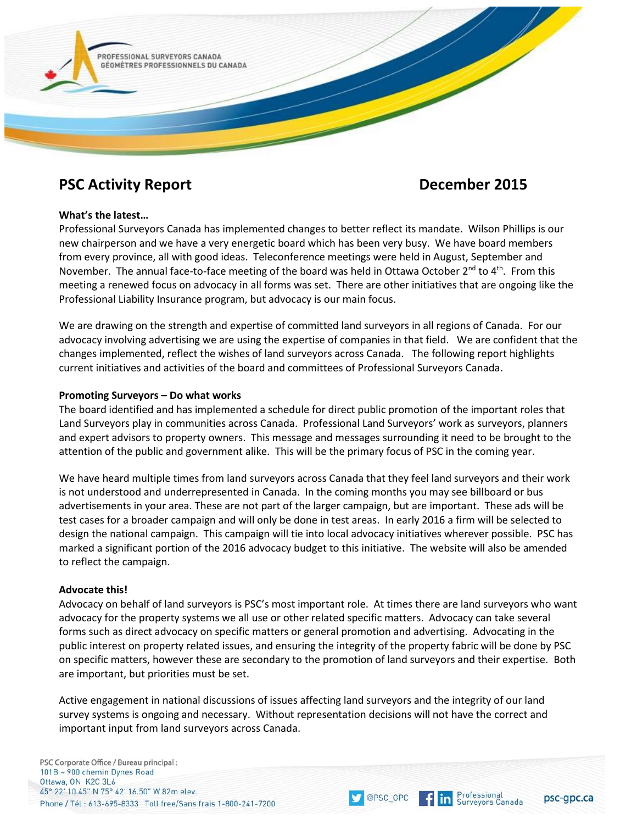

# **PSC Activity Report December 2015**

## **What's the latest…**

Professional Surveyors Canada has implemented changes to better reflect its mandate. Wilson Phillips is our new chairperson and we have a very energetic board which has been very busy. We have board members from every province, all with good ideas. Teleconference meetings were held in August, September and November. The annual face-to-face meeting of the board was held in Ottawa October 2<sup>nd</sup> to 4<sup>th</sup>. From this meeting a renewed focus on advocacy in all forms was set. There are other initiatives that are ongoing like the Professional Liability Insurance program, but advocacy is our main focus.

We are drawing on the strength and expertise of committed land surveyors in all regions of Canada. For our advocacy involving advertising we are using the expertise of companies in that field. We are confident that the changes implemented, reflect the wishes of land surveyors across Canada. The following report highlights current initiatives and activities of the board and committees of Professional Surveyors Canada.

## **Promoting Surveyors – Do what works**

The board identified and has implemented a schedule for direct public promotion of the important roles that Land Surveyors play in communities across Canada. Professional Land Surveyors' work as surveyors, planners and expert advisors to property owners. This message and messages surrounding it need to be brought to the attention of the public and government alike. This will be the primary focus of PSC in the coming year.

We have heard multiple times from land surveyors across Canada that they feel land surveyors and their work is not understood and underrepresented in Canada. In the coming months you may see billboard or bus advertisements in your area. These are not part of the larger campaign, but are important. These ads will be test cases for a broader campaign and will only be done in test areas. In early 2016 a firm will be selected to design the national campaign. This campaign will tie into local advocacy initiatives wherever possible. PSC has marked a significant portion of the 2016 advocacy budget to this initiative. The website will also be amended to reflect the campaign.

### **Advocate this!**

Advocacy on behalf of land surveyors is PSC's most important role. At times there are land surveyors who want advocacy for the property systems we all use or other related specific matters. Advocacy can take several forms such as direct advocacy on specific matters or general promotion and advertising. Advocating in the public interest on property related issues, and ensuring the integrity of the property fabric will be done by PSC on specific matters, however these are secondary to the promotion of land surveyors and their expertise. Both are important, but priorities must be set.

Active engagement in national discussions of issues affecting land surveyors and the integrity of our land survey systems is ongoing and necessary. Without representation decisions will not have the correct and important input from land surveyors across Canada.

PSC Corporate Office / Bureau principal: 101B - 900 chemin Dynes Road Ottawa, ON K2C 3L6 45° 22' 10.45" N 75° 42' 16.50" W 82m elev. Phone / Tél: 613-695-8333 Toll free/Sans frais 1-800-241-7200

Professional

**Surveyors Canada**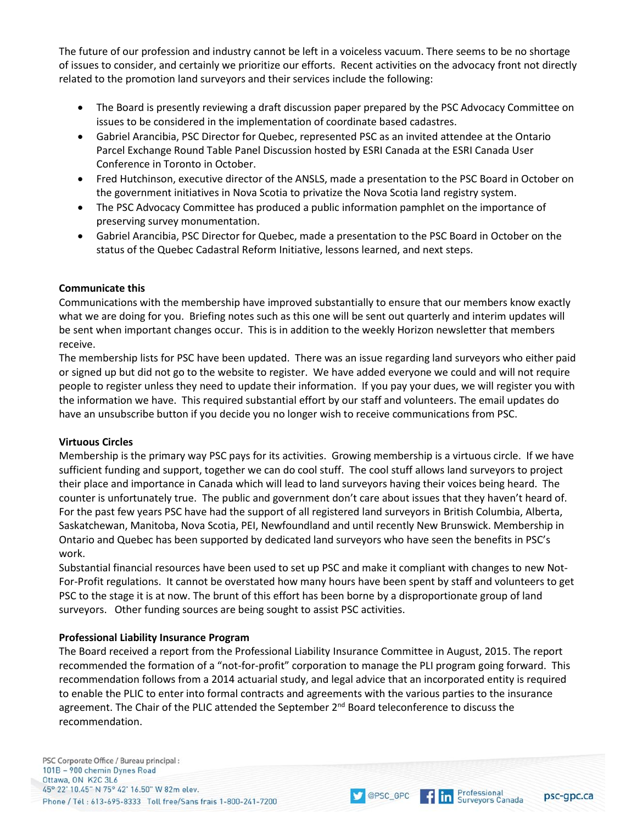The future of our profession and industry cannot be left in a voiceless vacuum. There seems to be no shortage of issues to consider, and certainly we prioritize our efforts. Recent activities on the advocacy front not directly related to the promotion land surveyors and their services include the following:

- The Board is presently reviewing a draft discussion paper prepared by the PSC Advocacy Committee on issues to be considered in the implementation of coordinate based cadastres.
- Gabriel Arancibia, PSC Director for Quebec, represented PSC as an invited attendee at the Ontario Parcel Exchange Round Table Panel Discussion hosted by ESRI Canada at the ESRI Canada User Conference in Toronto in October.
- Fred Hutchinson, executive director of the ANSLS, made a presentation to the PSC Board in October on the government initiatives in Nova Scotia to privatize the Nova Scotia land registry system.
- The PSC Advocacy Committee has produced a public information pamphlet on the importance of preserving survey monumentation.
- Gabriel Arancibia, PSC Director for Quebec, made a presentation to the PSC Board in October on the status of the Quebec Cadastral Reform Initiative, lessons learned, and next steps.

# **Communicate this**

Communications with the membership have improved substantially to ensure that our members know exactly what we are doing for you. Briefing notes such as this one will be sent out quarterly and interim updates will be sent when important changes occur. This is in addition to the weekly Horizon newsletter that members receive.

The membership lists for PSC have been updated. There was an issue regarding land surveyors who either paid or signed up but did not go to the website to register. We have added everyone we could and will not require people to register unless they need to update their information. If you pay your dues, we will register you with the information we have. This required substantial effort by our staff and volunteers. The email updates do have an unsubscribe button if you decide you no longer wish to receive communications from PSC.

# **Virtuous Circles**

Membership is the primary way PSC pays for its activities. Growing membership is a virtuous circle. If we have sufficient funding and support, together we can do cool stuff. The cool stuff allows land surveyors to project their place and importance in Canada which will lead to land surveyors having their voices being heard. The counter is unfortunately true. The public and government don't care about issues that they haven't heard of. For the past few years PSC have had the support of all registered land surveyors in British Columbia, Alberta, Saskatchewan, Manitoba, Nova Scotia, PEI, Newfoundland and until recently New Brunswick. Membership in Ontario and Quebec has been supported by dedicated land surveyors who have seen the benefits in PSC's work.

Substantial financial resources have been used to set up PSC and make it compliant with changes to new Not-For-Profit regulations. It cannot be overstated how many hours have been spent by staff and volunteers to get PSC to the stage it is at now. The brunt of this effort has been borne by a disproportionate group of land surveyors. Other funding sources are being sought to assist PSC activities.

# **Professional Liability Insurance Program**

The Board received a report from the Professional Liability Insurance Committee in August, 2015. The report recommended the formation of a "not-for-profit" corporation to manage the PLI program going forward. This recommendation follows from a 2014 actuarial study, and legal advice that an incorporated entity is required to enable the PLIC to enter into formal contracts and agreements with the various parties to the insurance agreement. The Chair of the PLIC attended the September 2<sup>nd</sup> Board teleconference to discuss the recommendation.